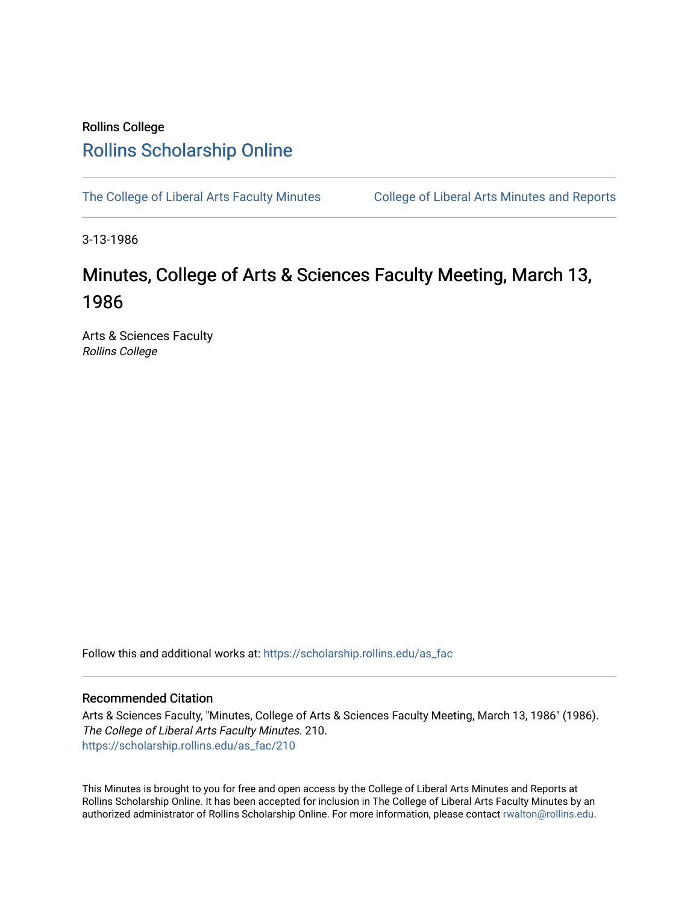# Rollins College [Rollins Scholarship Online](https://scholarship.rollins.edu/)

[The College of Liberal Arts Faculty Minutes](https://scholarship.rollins.edu/as_fac) College of Liberal Arts Minutes and Reports

3-13-1986

# Minutes, College of Arts & Sciences Faculty Meeting, March 13, 1986

Arts & Sciences Faculty Rollins College

Follow this and additional works at: [https://scholarship.rollins.edu/as\\_fac](https://scholarship.rollins.edu/as_fac?utm_source=scholarship.rollins.edu%2Fas_fac%2F210&utm_medium=PDF&utm_campaign=PDFCoverPages) 

# Recommended Citation

Arts & Sciences Faculty, "Minutes, College of Arts & Sciences Faculty Meeting, March 13, 1986" (1986). The College of Liberal Arts Faculty Minutes. 210. [https://scholarship.rollins.edu/as\\_fac/210](https://scholarship.rollins.edu/as_fac/210?utm_source=scholarship.rollins.edu%2Fas_fac%2F210&utm_medium=PDF&utm_campaign=PDFCoverPages) 

This Minutes is brought to you for free and open access by the College of Liberal Arts Minutes and Reports at Rollins Scholarship Online. It has been accepted for inclusion in The College of Liberal Arts Faculty Minutes by an authorized administrator of Rollins Scholarship Online. For more information, please contact [rwalton@rollins.edu](mailto:rwalton@rollins.edu).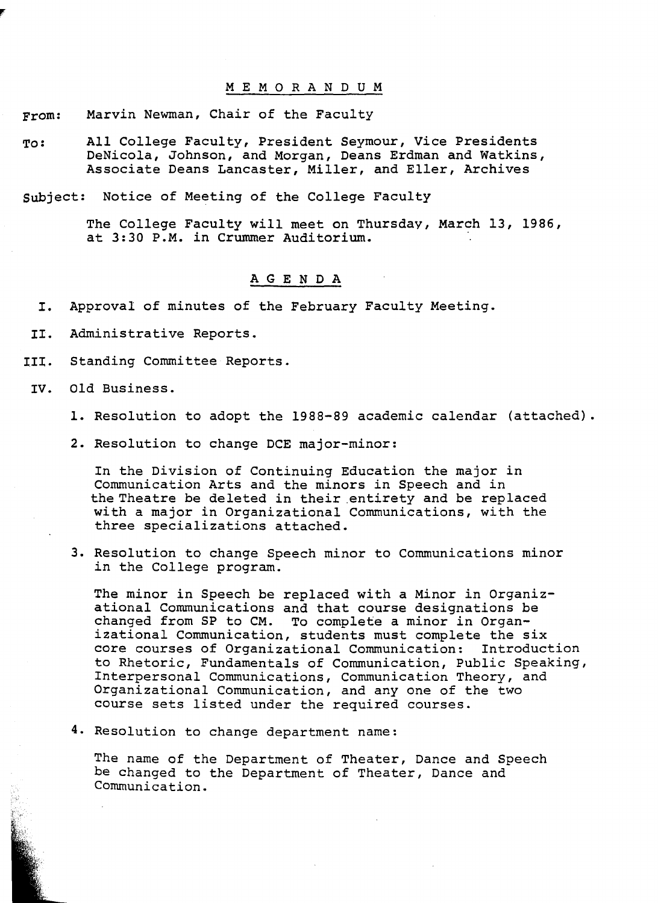#### M E M O R A N D U M

From: Marvin Newman, Chair of the Faculty

To: All College Faculty, President Seymour, Vice Presidents DeNicola, Johnson, and Morgan, Deans Erdman and Watkins, Associate Deans Lancaster, Miller, and Eller, Archives

subject: Notice of Meeting of the College Faculty

The College Faculty will meet on Thursday, March 13, 1986, at 3:30 P.M. in Crummer Auditorium.

### **AGENDA**

I. Approval of minutes of the February Faculty Meeting.

II. Administrative Reports.

III. Standing Committee Reports.

IV. Old Business.

- 1. Resolution to adopt the 1988-89 academic calendar (attached).
- 2. Resolution to change DCE major-minor:

In the Division of Continuing Education the major in Communication Arts and the minors in Speech and in the Theatre be deleted in their .entirety and be replaced with a major in Organizational Communications, with the three specializations attached.

3. Resolution to change Speech minor to Communications minor in the College program.

The minor in Speech be replaced with a Minor in Organizational Communications and that course designations be changed from SP to CM. To complete a minor in Organizational Communication, students must complete the six core courses of Organizational Communication: Introduction to Rhetoric, Fundamentals of Communication, Public Speaking, Interpersonal Communications, Communication Theory, and Organizational Communication, and any one of the two course sets listed under the required courses.

4. Resolution to change department name:

The name of the Department of Theater, Dance and Speech be changed to the Department of Theater, Dance and Communication.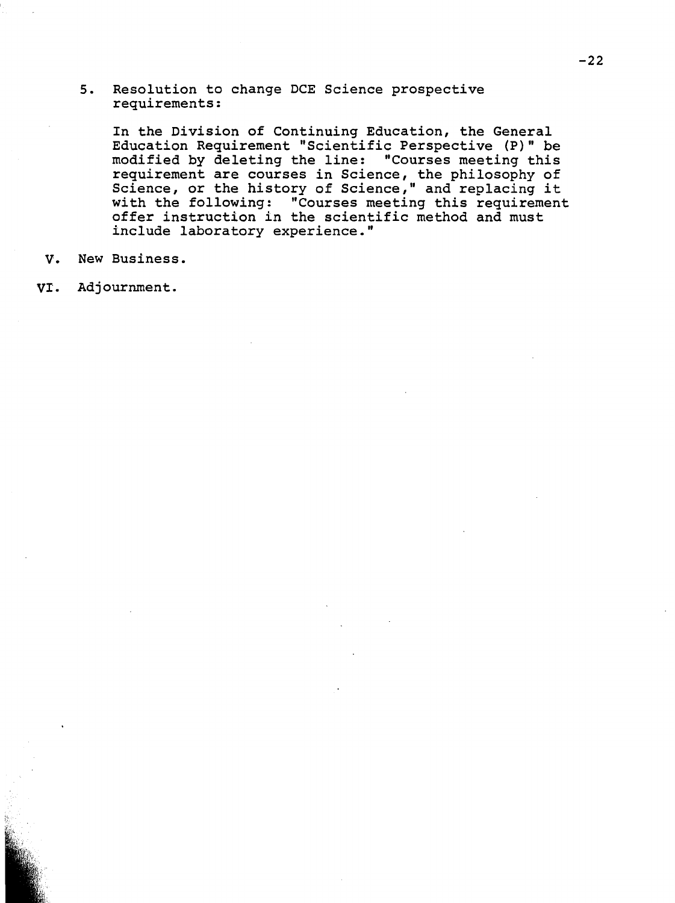5. Resolution to change DCE Science prospective requirements:

In the Division of Continuing Education, the General Education Requirement "Scientific Perspective (P)" be modified by deleting the line: "Courses meeting this requirement are courses in Science, the philosophy of Science, or the history of Science," and replacing it with the following: "Courses meeting this requirement offer instruction in the scientific method and must include laboratory experience."

v. New Business.

VI. Adjournment.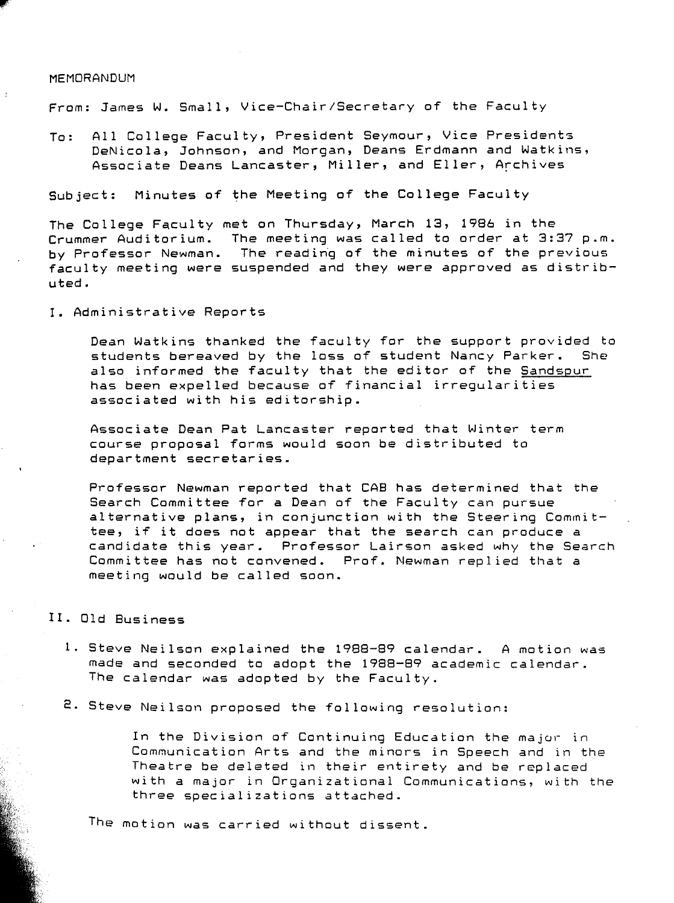#### MEMORANDUM

From: James W. Small, Vice-Chair/Secretary of the Faculty

To: All College Faculty, President Seymour, Vice Presidents DeNicola, Johnson, and Morgan, Deans Erdmann and Watkins, Associate Deans Lancaster, Miller, and Eller, Archives

Subject: Minutes of the Meeting of the College Faculty

The College Faculty met on Thursday, March 13, 1986 in the Crummer Auditorium. The meeting was called to order at 3:37 p.m. by Professor Newman. The readirig of the minutes of the previous faculty meeting were suspended and they were approved as distributed.

I. Administrative Reports

Dean Watkins thanked the faculty for the support provided to<br>students bereaved by the loss of student Nancy Parker. She students bereaved by the loss of student Nancy Parker. also informed the faculty that the editor of the Sandspur has been expelled because of financial irregularities associated with his editorship.

Associate Dean Pat Lancaster reported that Winter term course proposal forms would soon be distributed to department secretaries.

Professor Newman reported that CAB has determined that the Search Committee for *a* Dean of the Faculty can pursue alternative plans, in conjunction with the Steering Committee, if it does not appear that the search can produce *<sup>a</sup>* candidate this year. Professor Lairson asked why the Search Committee has not convened. Prof. Newman replied that *<sup>a</sup>* meeting would be called soon.

# II. Old Business

- 1. Steve Neilson explained the 1988-89 calendar. A motion was made and seconded to adopt the 1988-89 academic calendar. The calendar was adopted by the Faculty.
- **2.** Steve Neilson proposed the following resolution:

In the Division of Continuing Education the major in Communication Arts and the minors in Speech and in the Theatre be deleted in their entirety and be replaced with a major in Organizational Communications, with the three specializations attached.

The motion was carried without dissent.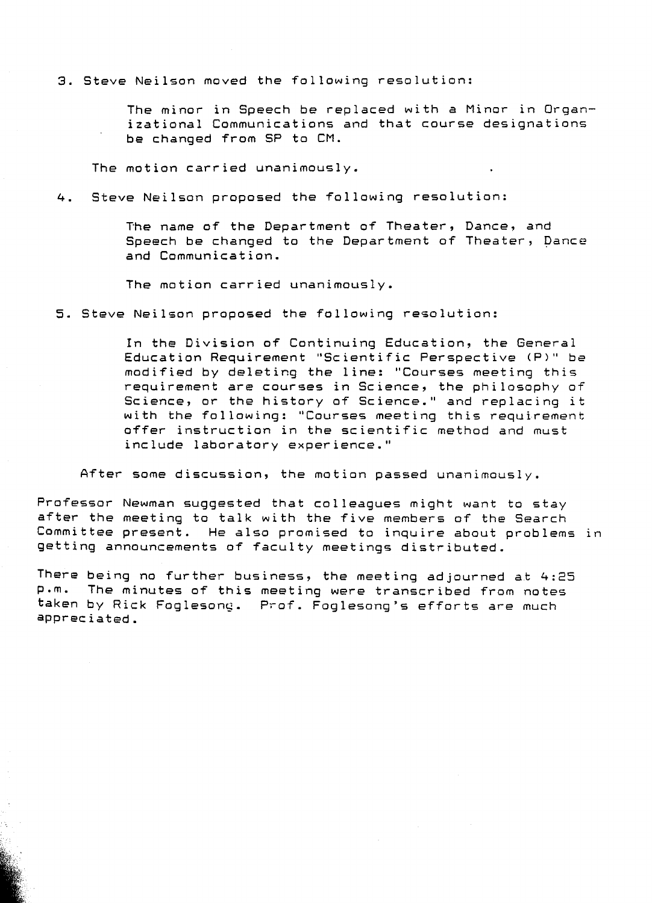3. Steve Neilson moved the following resolution:

The minor in Speech be replaced with a Minor in Organizational Communications and that course designations be changed from SP to CM.

The motion carried unanimously.

4. Steve Neilson proposed the following resolution:

The name of the Department of Theater, Dance, and Speech be changed to the Department of Theater, Dance and Communication.

The motion carried unanimously.

5. Steve Neilson proposed the following resolution:

In the Division of Continuing Education, the General Education Requirement "Scientific Perspective (P)" be modified by deleting the line: "Courses meeting this requirement are courses in Science, the philosophy of Science, or the history of Science." and replacing it with the following: "Courses meeting this requirement offer instruction in the scientific method and must include laboratory experience."

After some discussion, the motion passed unanimously.

Professor Newman suggested that colleagues might want ta stay after the meeting to talk with the five members of the Search Committee present. He also promised ta inquire about problems in getting announcements of faculty meetings distributed.

There being no further business, the meeting adjourned at 4:25 The minutes of this meeting were transcribed from notes taken by Rick Foglesong. Prof. Foglesong's efforts are much appreciated.